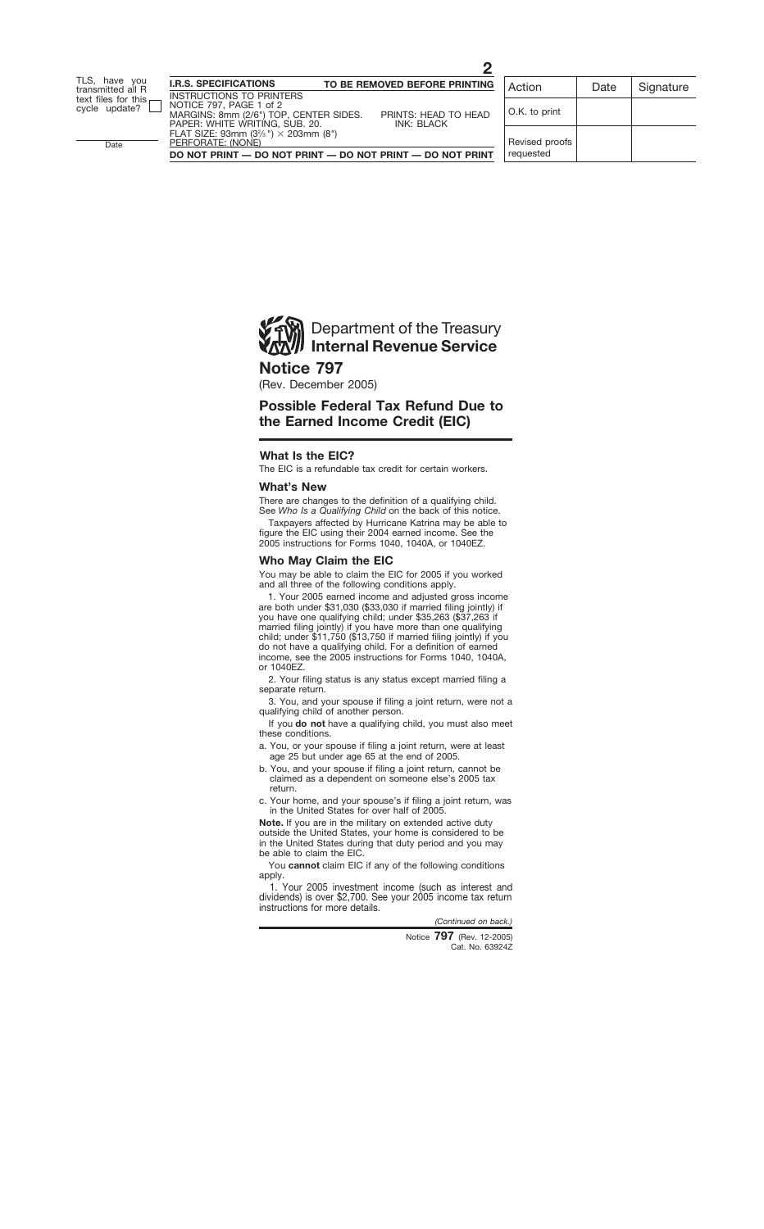

## **Notice 797**

(Rev. December 2005)

# **Possible Federal Tax Refund Due to the Earned Income Credit (EIC)**

## **What Is the EIC?**

The EIC is a refundable tax credit for certain workers.

### **What's New**

There are changes to the definition of a qualifying child. See *Who Is a Qualifying Child* on the back of this notice.

Taxpayers affected by Hurricane Katrina may be able to figure the EIC using their 2004 earned income. See the 2005 instructions for Forms 1040, 1040A, or 1040EZ.

## **Who May Claim the EIC**

You may be able to claim the EIC for 2005 if you worked and all three of the following conditions apply.

1. Your 2005 earned income and adjusted gross income are both under \$31,030 (\$33,030 if married filing jointly) if you have one qualifying child; under \$35,263 (\$37,263 if married filing jointly) if you have more than one qualifying child; under \$11,750 (\$13,750 if married filing jointly) if you do not have a qualifying child. For a definition of earned income, see the 2005 instructions for Forms 1040, 1040A, or 1040EZ.

2. Your filing status is any status except married filing a separate return.

3. You, and your spouse if filing a joint return, were not a qualifying child of another person.

If you **do not** have a qualifying child, you must also meet these conditions.

a. You, or your spouse if filing a joint return, were at least age 25 but under age 65 at the end of 2005.

- b. You, and your spouse if filing a joint return, cannot be claimed as a dependent on someone else's 2005 tax return.
- c. Your home, and your spouse's if filing a joint return, was in the United States for over half of 2005.

**Note.** If you are in the military on extended active duty outside the United States, your home is considered to be in the United States during that duty period and you may be able to claim the EIC.

You **cannot** claim EIC if any of the following conditions apply.

1. Your 2005 investment income (such as interest and dividends) is over \$2,700. See your 2005 income tax return instructions for more details.

*(Continued on back.)*

Cat. No. 63924Z Notice **797** (Rev. 12-2005)